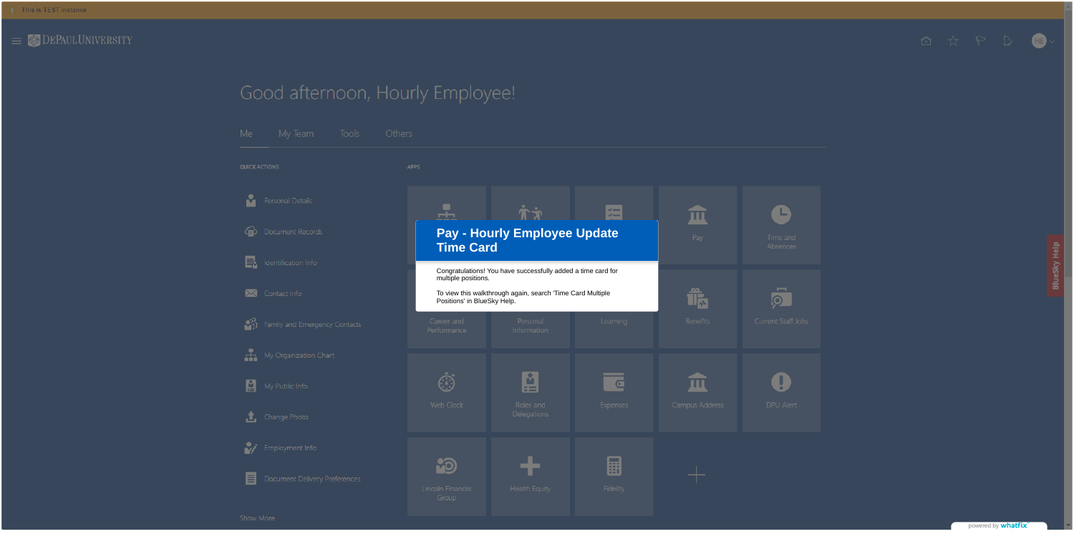

# Good afternoon, Hourly Employee!

| Me                   | My Team                       | Tools | Others      |                                                       |  |
|----------------------|-------------------------------|-------|-------------|-------------------------------------------------------|--|
| <b>QUICK ACTIONS</b> |                               |       | <b>APPS</b> |                                                       |  |
|                      | Personal Details              |       |             |                                                       |  |
|                      | Document Records              |       |             | <b>Pay - Hourly</b><br><b>Time Card</b>               |  |
|                      | Identification Info           |       |             | Congratulations! You hav<br>multiple positions.       |  |
|                      | Contact Info                  |       |             | To view this walkthrough<br>Positions' in BlueSky Hel |  |
|                      | Family and Emergency Contacts |       |             | Career and<br>Performance                             |  |
|                      | My Organization Chart         |       |             |                                                       |  |
| A                    | My Public Info                |       |             | a J                                                   |  |
|                      | Change Photo                  |       |             | <b>Web Clock</b>                                      |  |
|                      | Employment Info               |       |             |                                                       |  |
| ≣                    | Document Delivery Preferences |       |             | Lincoln Financial                                     |  |





powered by **whatfix** 

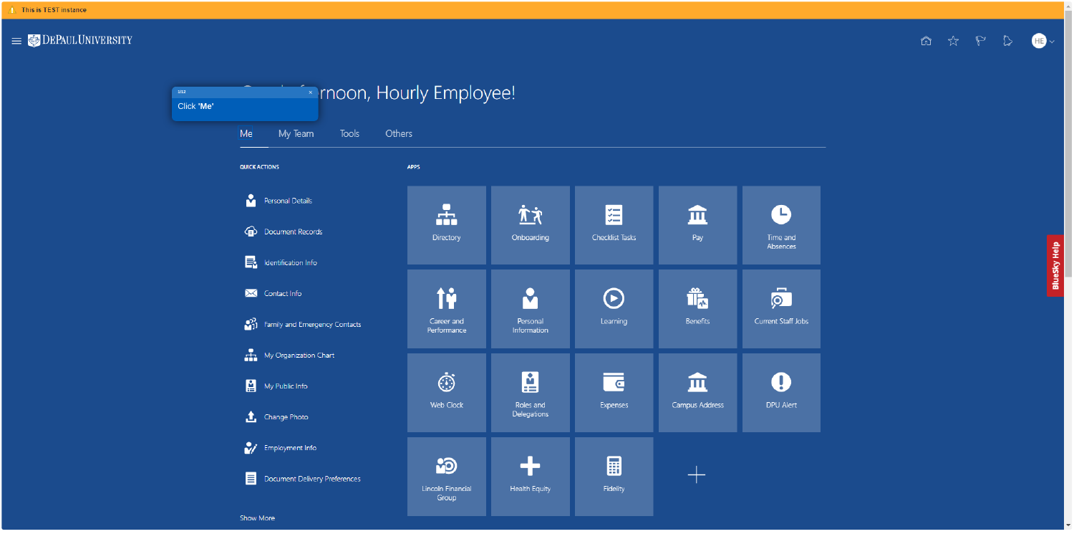

Show More



| Onboarding                    | --<br>$\checkmark$<br>$\checkmark$<br>Checklist Tasks | $\mathbf{H}$<br>Pay  | D<br>Time and<br>Absences       |
|-------------------------------|-------------------------------------------------------|----------------------|---------------------------------|
| Personal<br>Information       | $(\blacktriangleright)$<br>Learning                   | 体<br><b>Benefits</b> | $\bullet$<br>Current Staff Jobs |
| ።<br>Roles and<br>Delegations | <u> ਵ</u><br><b>Expenses</b>                          | Campus Address       | $\mathbf 0$<br>DPU Alert        |
| <b>Health Equity</b>          | π<br><b>Fidelity</b>                                  |                      |                                 |

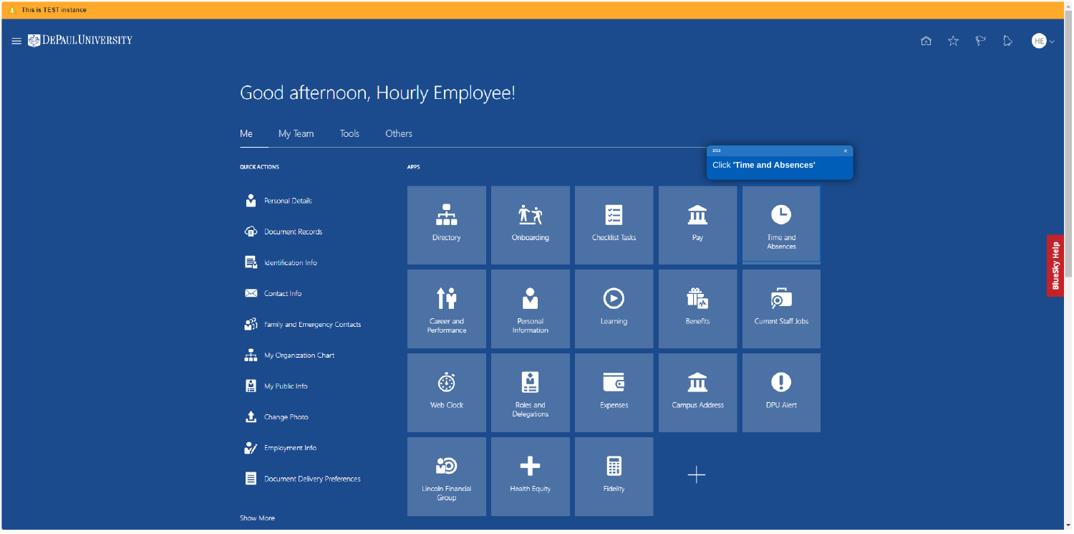

# Good afternoon, Hourly Employee!

| Me                   | My Team                       | <b>Tools</b> | Others                     |  |
|----------------------|-------------------------------|--------------|----------------------------|--|
| <b>QUICK ACTIONS</b> |                               |              | <b>APPS</b>                |  |
|                      | Personal Details              |              |                            |  |
| 虛                    | Document Records              |              | <b>Directory</b>           |  |
| E.                   | Identification Info           |              |                            |  |
|                      | Contact Info                  |              | ÎŶ                         |  |
| o)<br>Nil            | Family and Emergency Contacts |              | Career and<br>Performance  |  |
|                      | My Organization Chart         |              |                            |  |
| ₽                    | My Public Info                |              | . .                        |  |
| Œ,                   | Change Photo                  |              | <b>Web Clock</b>           |  |
|                      | Employment Info               |              |                            |  |
|                      | Document Delivery Preferences |              | Lincoln Financial<br>Group |  |

Show More

 $\begin{picture}(20,20) \put(0,0){\line(1,0){10}} \put(15,0){\line(1,0){10}} \put(15,0){\line(1,0){10}} \put(15,0){\line(1,0){10}} \put(15,0){\line(1,0){10}} \put(15,0){\line(1,0){10}} \put(15,0){\line(1,0){10}} \put(15,0){\line(1,0){10}} \put(15,0){\line(1,0){10}} \put(15,0){\line(1,0){10}} \put(15,0){\line(1,0){10}} \put(15,0){\line(1$ 



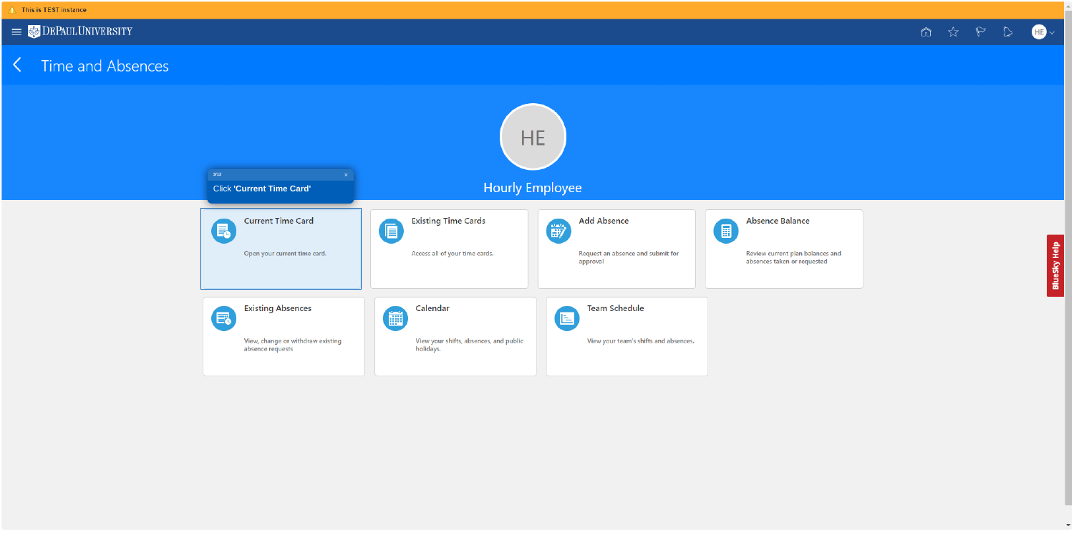

## K Time and Absences





## **Hourly Employee**

|        | <b>Add Absence</b><br>斷                       | <b>Absence Balance</b><br>匾                                     |
|--------|-----------------------------------------------|-----------------------------------------------------------------|
|        | Request an absence and submit for<br>approval | Review current plan balances and<br>absences taken or requested |
|        | <b>Team Schedule</b><br>e                     |                                                                 |
| public | View your team's shifts and absences.         |                                                                 |



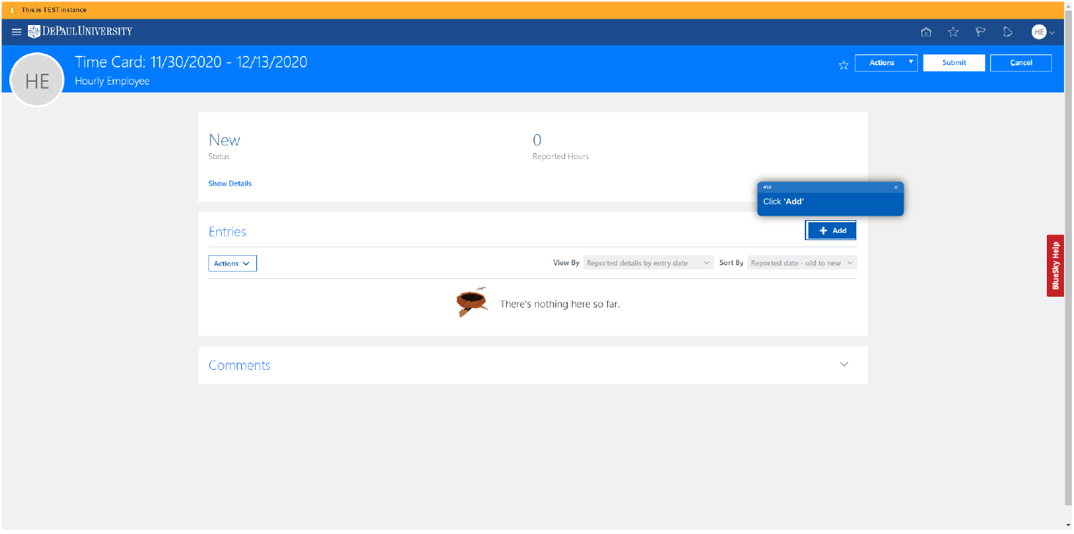HE



Time Card: 11/30/2020 - 12/13/2020

Hourly Employee

| New<br>Status       |  |
|---------------------|--|
| <b>Show Details</b> |  |
|                     |  |
| <b>Entries</b>      |  |
| Actions $\vee$      |  |
|                     |  |
|                     |  |
| Comments            |  |



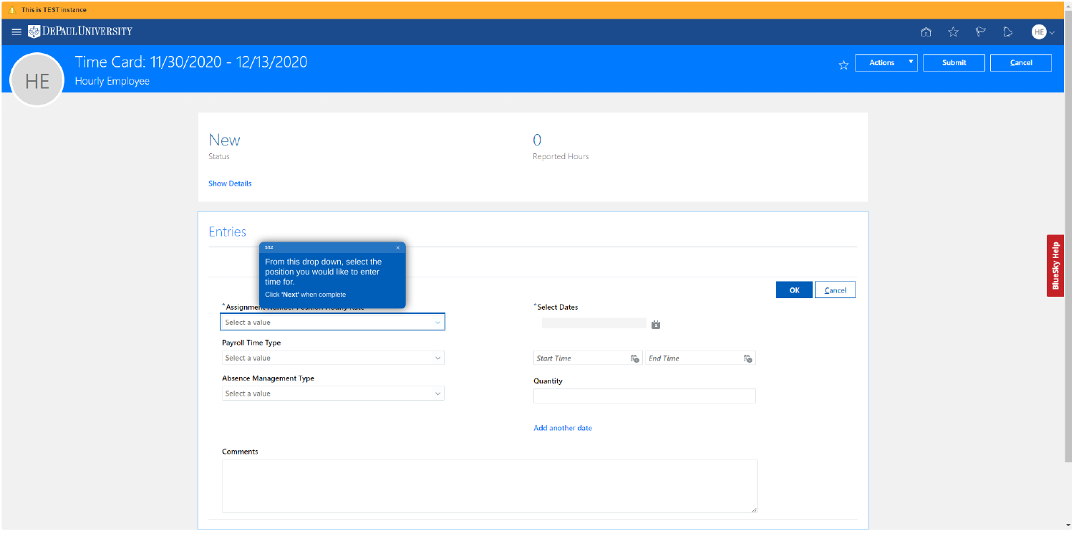HE

## Time Card: 11/30/2020 - 12/13/2020

Hourly Employee

| <b>New</b> |
|------------|
|            |

Status

**Show Details** 

|                                                           | From this drop down, select the<br>position you would like to enter<br>time for.<br>Click 'Next' when complete |  |
|-----------------------------------------------------------|----------------------------------------------------------------------------------------------------------------|--|
| *Assignmen.<br>Select a value<br><b>Payroll Time Type</b> | <u>anno maranan</u>                                                                                            |  |
| Select a value                                            |                                                                                                                |  |
|                                                           | <b>Absence Management Type</b>                                                                                 |  |
|                                                           | Select a value                                                                                                 |  |

#### **Comments**

|                   |                |                 |                          |                                                                                         |        |                |                          | $\begin{picture}(60,6) \put(0,0){\vector(0,1){30}} \put(15,0){\vector(0,1){30}} \put(15,0){\vector(0,1){30}} \put(15,0){\vector(0,1){30}} \put(15,0){\vector(0,1){30}} \put(15,0){\vector(0,1){30}} \put(15,0){\vector(0,1){30}} \put(15,0){\vector(0,1){30}} \put(15,0){\vector(0,1){30}} \put(15,0){\vector(0,1){30}} \put(15,0){\vector(0,1){30}} \put(15,0){\vector(0,$ |  |
|-------------------|----------------|-----------------|--------------------------|-----------------------------------------------------------------------------------------|--------|----------------|--------------------------|-----------------------------------------------------------------------------------------------------------------------------------------------------------------------------------------------------------------------------------------------------------------------------------------------------------------------------------------------------------------------------|--|
|                   |                |                 |                          |                                                                                         | ☆      | <b>Actions</b> | $\langle \nabla \rangle$ | Submit                                                                                                                                                                                                                                                                                                                                                                      |  |
|                   |                |                 |                          |                                                                                         |        |                |                          |                                                                                                                                                                                                                                                                                                                                                                             |  |
|                   |                |                 |                          |                                                                                         |        |                |                          |                                                                                                                                                                                                                                                                                                                                                                             |  |
|                   |                |                 |                          |                                                                                         |        |                |                          |                                                                                                                                                                                                                                                                                                                                                                             |  |
|                   |                |                 |                          |                                                                                         |        |                |                          |                                                                                                                                                                                                                                                                                                                                                                             |  |
| Reported Hours    |                |                 |                          |                                                                                         |        |                |                          |                                                                                                                                                                                                                                                                                                                                                                             |  |
|                   |                |                 |                          |                                                                                         |        |                |                          |                                                                                                                                                                                                                                                                                                                                                                             |  |
|                   |                |                 |                          |                                                                                         |        |                |                          |                                                                                                                                                                                                                                                                                                                                                                             |  |
|                   |                |                 |                          |                                                                                         |        |                |                          |                                                                                                                                                                                                                                                                                                                                                                             |  |
|                   |                |                 |                          |                                                                                         |        |                |                          |                                                                                                                                                                                                                                                                                                                                                                             |  |
|                   |                |                 |                          |                                                                                         |        |                |                          |                                                                                                                                                                                                                                                                                                                                                                             |  |
| *Select Dates     |                |                 |                          | $\mathsf{OK}% _{\mathsf{CL}}\times\mathsf{CK}_{\mathsf{CL}}^{\mathsf{CL}}(\mathsf{CL})$ | Cancel |                |                          |                                                                                                                                                                                                                                                                                                                                                                             |  |
|                   |                | ö               |                          |                                                                                         |        |                |                          |                                                                                                                                                                                                                                                                                                                                                                             |  |
|                   |                |                 |                          |                                                                                         |        |                |                          |                                                                                                                                                                                                                                                                                                                                                                             |  |
| <b>Start Time</b> | $\overline{1}$ | <b>End Time</b> | $\overleftrightarrow{1}$ |                                                                                         |        |                |                          |                                                                                                                                                                                                                                                                                                                                                                             |  |
| Quantity          |                |                 |                          |                                                                                         |        |                |                          |                                                                                                                                                                                                                                                                                                                                                                             |  |
|                   |                |                 |                          |                                                                                         |        |                |                          |                                                                                                                                                                                                                                                                                                                                                                             |  |
| Add another date  |                |                 |                          |                                                                                         |        |                |                          |                                                                                                                                                                                                                                                                                                                                                                             |  |
|                   |                |                 |                          |                                                                                         |        |                |                          |                                                                                                                                                                                                                                                                                                                                                                             |  |
|                   |                |                 |                          |                                                                                         |        |                |                          |                                                                                                                                                                                                                                                                                                                                                                             |  |
|                   |                |                 |                          |                                                                                         |        |                |                          |                                                                                                                                                                                                                                                                                                                                                                             |  |
|                   |                |                 | 4                        |                                                                                         |        |                |                          |                                                                                                                                                                                                                                                                                                                                                                             |  |



BlueSky Help

 $\mathcal{R}$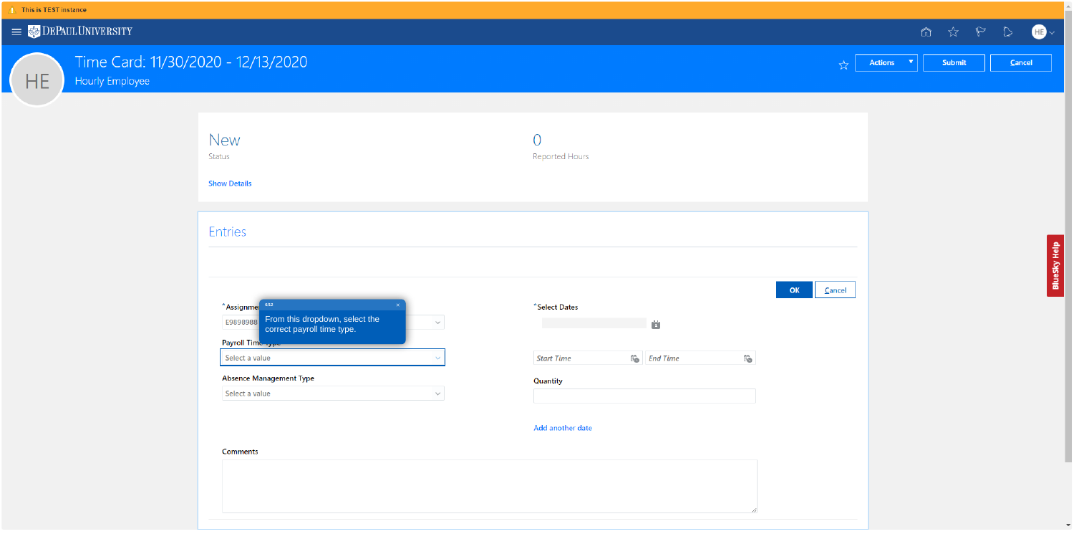HE

# Time Card: 11/30/2020 - 12/13/2020

Hourly Employee

| I |
|---|
|---|

Status

**Show Details** 

### Entries

| *Assignmer     | 6/12                                                         | $\times$ |              |
|----------------|--------------------------------------------------------------|----------|--------------|
| E9898988       | From this dropdown, select the<br>correct payroll time type. |          | $\checkmark$ |
| Payroll Time   |                                                              |          |              |
| Select a value |                                                              |          |              |

 $\checkmark$ 

### **Absence Management Type**

Select a value

#### **Comments**

|                   |                |                 |                          |                                                                                         |        |                |                          | $\begin{picture}(60,6) \put(0,0){\vector(0,1){30}} \put(15,0){\vector(0,1){30}} \put(15,0){\vector(0,1){30}} \put(15,0){\vector(0,1){30}} \put(15,0){\vector(0,1){30}} \put(15,0){\vector(0,1){30}} \put(15,0){\vector(0,1){30}} \put(15,0){\vector(0,1){30}} \put(15,0){\vector(0,1){30}} \put(15,0){\vector(0,1){30}} \put(15,0){\vector(0,1){30}} \put(15,0){\vector(0,$ |  |
|-------------------|----------------|-----------------|--------------------------|-----------------------------------------------------------------------------------------|--------|----------------|--------------------------|-----------------------------------------------------------------------------------------------------------------------------------------------------------------------------------------------------------------------------------------------------------------------------------------------------------------------------------------------------------------------------|--|
|                   |                |                 |                          |                                                                                         | ☆      | <b>Actions</b> | $\langle \nabla \rangle$ | Submit                                                                                                                                                                                                                                                                                                                                                                      |  |
|                   |                |                 |                          |                                                                                         |        |                |                          |                                                                                                                                                                                                                                                                                                                                                                             |  |
|                   |                |                 |                          |                                                                                         |        |                |                          |                                                                                                                                                                                                                                                                                                                                                                             |  |
|                   |                |                 |                          |                                                                                         |        |                |                          |                                                                                                                                                                                                                                                                                                                                                                             |  |
|                   |                |                 |                          |                                                                                         |        |                |                          |                                                                                                                                                                                                                                                                                                                                                                             |  |
| Reported Hours    |                |                 |                          |                                                                                         |        |                |                          |                                                                                                                                                                                                                                                                                                                                                                             |  |
|                   |                |                 |                          |                                                                                         |        |                |                          |                                                                                                                                                                                                                                                                                                                                                                             |  |
|                   |                |                 |                          |                                                                                         |        |                |                          |                                                                                                                                                                                                                                                                                                                                                                             |  |
|                   |                |                 |                          |                                                                                         |        |                |                          |                                                                                                                                                                                                                                                                                                                                                                             |  |
|                   |                |                 |                          |                                                                                         |        |                |                          |                                                                                                                                                                                                                                                                                                                                                                             |  |
|                   |                |                 |                          |                                                                                         |        |                |                          |                                                                                                                                                                                                                                                                                                                                                                             |  |
| *Select Dates     |                |                 |                          | $\mathsf{OK}% _{\mathsf{CL}}\times\mathsf{CK}_{\mathsf{CL}}^{\mathsf{CL}}(\mathsf{CL})$ | Cancel |                |                          |                                                                                                                                                                                                                                                                                                                                                                             |  |
|                   |                | ö               |                          |                                                                                         |        |                |                          |                                                                                                                                                                                                                                                                                                                                                                             |  |
|                   |                |                 |                          |                                                                                         |        |                |                          |                                                                                                                                                                                                                                                                                                                                                                             |  |
| <b>Start Time</b> | $\overline{1}$ | <b>End Time</b> | $\overleftrightarrow{1}$ |                                                                                         |        |                |                          |                                                                                                                                                                                                                                                                                                                                                                             |  |
| Quantity          |                |                 |                          |                                                                                         |        |                |                          |                                                                                                                                                                                                                                                                                                                                                                             |  |
|                   |                |                 |                          |                                                                                         |        |                |                          |                                                                                                                                                                                                                                                                                                                                                                             |  |
| Add another date  |                |                 |                          |                                                                                         |        |                |                          |                                                                                                                                                                                                                                                                                                                                                                             |  |
|                   |                |                 |                          |                                                                                         |        |                |                          |                                                                                                                                                                                                                                                                                                                                                                             |  |
|                   |                |                 |                          |                                                                                         |        |                |                          |                                                                                                                                                                                                                                                                                                                                                                             |  |
|                   |                |                 |                          |                                                                                         |        |                |                          |                                                                                                                                                                                                                                                                                                                                                                             |  |
|                   |                |                 | 4                        |                                                                                         |        |                |                          |                                                                                                                                                                                                                                                                                                                                                                             |  |



BlueSky Help

 $\mathcal{A}$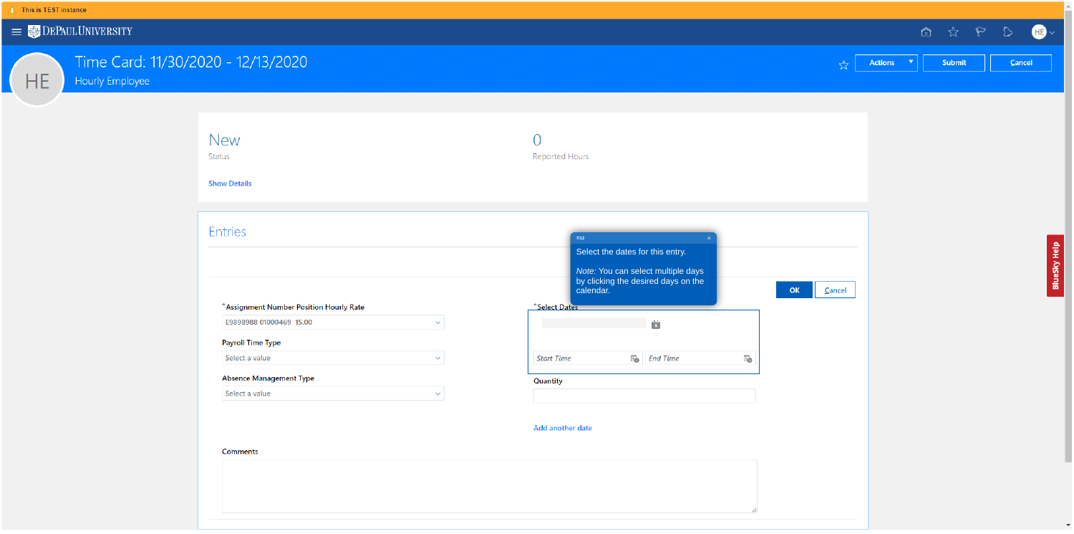HE

# Time Card: 11/30/2020 - 12/13/2020

Hourly Employee

| New |
|-----|
|     |

Status

**Show Details** 

### Entries

| Assignment Number Position Hourly Rate |              |
|----------------------------------------|--------------|
| E9898988 01000469 15.00                |              |
| ayroll Time Type                       |              |
| Select a value                         | $\checkmark$ |
| Absence Management Type                |              |

 $\checkmark$ 

### Select a value

#### **Comments**

|                     |                                                                                                               |              |                          | ☆            | <b>Actions</b> | ħ<br>$\blacktriangledown$ | ☆<br>Submit | $\mathbb{P}$ |
|---------------------|---------------------------------------------------------------------------------------------------------------|--------------|--------------------------|--------------|----------------|---------------------------|-------------|--------------|
|                     |                                                                                                               |              |                          |              |                |                           |             |              |
| Reported Hours      |                                                                                                               |              |                          |              |                |                           |             |              |
| $7/12$<br>calendar. | Select the dates for this entry.<br>Note: You can select multiple days<br>by clicking the desired days on the | $\mathsf{x}$ |                          | OK<br>Cancel |                |                           |             |              |
| *Select Dates       | ö                                                                                                             |              |                          |              |                |                           |             |              |
| <b>Start Time</b>   | $\overleftrightarrow{1}$<br><b>End Time</b>                                                                   |              | $\overleftrightarrow{1}$ |              |                |                           |             |              |
| Quantity            |                                                                                                               |              |                          |              |                |                           |             |              |
| Add another date    |                                                                                                               |              |                          |              |                |                           |             |              |
|                     |                                                                                                               |              | 4                        |              |                |                           |             |              |
|                     |                                                                                                               |              |                          |              |                |                           |             |              |



BlueSky Help

 $\mathcal{R}$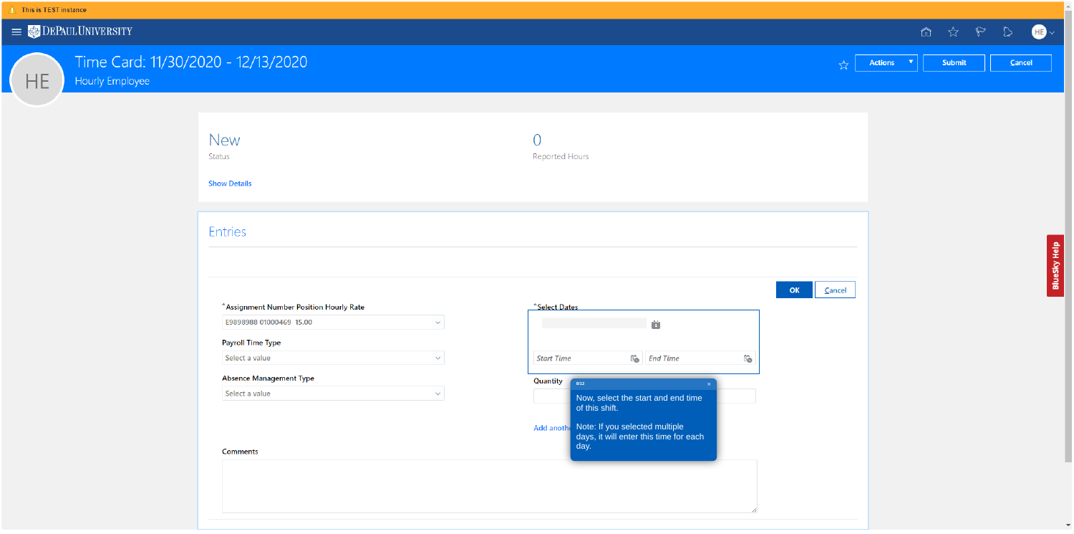HE

## Time Card: 11/30/2020 - 12/13/2020

Hourly Employee

| New |
|-----|
|     |

Status

**Show Details** 

### Entries

| Assignment Number Position Hourly Rate |              |
|----------------------------------------|--------------|
| E9898988 01000469 15.00                |              |
| ayroll Time Type                       |              |
| Select a value                         | $\checkmark$ |
| Absence Management Type                |              |

 $\checkmark$ 

### Select a value

#### **Comments**

|                                                                                             |                          |    |        |                |                      | $\begin{tabular}{lllllllll} \hline $\hat{\mathfrak{m}}$ & $\hat{\mathfrak{m}}$ & $\mathbb{R}^{\prime}$ & $\mathbb{R}$ \\\hline \end{tabular}$ |  |
|---------------------------------------------------------------------------------------------|--------------------------|----|--------|----------------|----------------------|-----------------------------------------------------------------------------------------------------------------------------------------------|--|
|                                                                                             |                          |    | ☆      | <b>Actions</b> | $\blacktriangledown$ | Submit                                                                                                                                        |  |
|                                                                                             |                          |    |        |                |                      |                                                                                                                                               |  |
| Reported Hours                                                                              |                          |    |        |                |                      |                                                                                                                                               |  |
|                                                                                             |                          |    |        |                |                      |                                                                                                                                               |  |
|                                                                                             |                          |    |        |                |                      |                                                                                                                                               |  |
|                                                                                             |                          |    |        |                |                      |                                                                                                                                               |  |
| *Select Dates<br>ö                                                                          |                          | OK | Cancel |                |                      |                                                                                                                                               |  |
| $\overline{1}$ o<br><b>Start Time</b><br><b>End Time</b>                                    | $\overleftrightarrow{1}$ |    |        |                |                      |                                                                                                                                               |  |
| Quantity<br>$8/12$<br>$\mathsf{X}$<br>Now, select the start and end time<br>of this shift.  |                          |    |        |                |                      |                                                                                                                                               |  |
| Add anothe Note: If you selected multiple<br>days, it will enter this time for each<br>day. |                          |    |        |                |                      |                                                                                                                                               |  |
|                                                                                             |                          |    |        |                |                      |                                                                                                                                               |  |
|                                                                                             | 11                       |    |        |                |                      |                                                                                                                                               |  |



BlueSky Help

 $\mathcal{R}$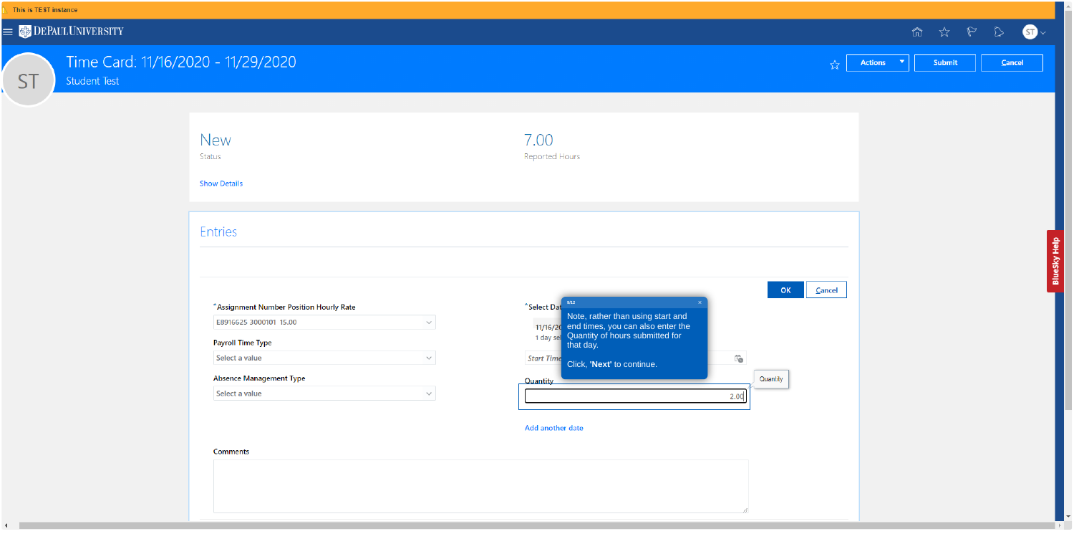

**ST** 

## Time Card: 11/16/2020 - 11/29/2020

Student Test

| <b>New</b> |
|------------|
|------------|

Status

**Show Details** 

### Entries

### \*Assignment Number Position Hourly Rate

| E8916625 3000101 15.00   |  |
|--------------------------|--|
| <b>Payroll Time Type</b> |  |
| Select a value           |  |
|                          |  |

### **Absence Management Type**

|  | Select a value |  |  |
|--|----------------|--|--|
|--|----------------|--|--|

#### **Comments**

 $\mathcal{A}$  .

|                                                                                                                                                                                                                                                                  |                                              |                |        |                |                      | $\begin{matrix} \mathbb{Q} & \mathbb{Q} & \mathbb{Q} \end{matrix}$ | B           |
|------------------------------------------------------------------------------------------------------------------------------------------------------------------------------------------------------------------------------------------------------------------|----------------------------------------------|----------------|--------|----------------|----------------------|--------------------------------------------------------------------|-------------|
|                                                                                                                                                                                                                                                                  |                                              |                | ☆      | <b>Actions</b> | $\blacktriangledown$ | Submit                                                             | $\subseteq$ |
|                                                                                                                                                                                                                                                                  |                                              |                |        |                |                      |                                                                    |             |
| 7.00<br>Reported Hours                                                                                                                                                                                                                                           |                                              |                |        |                |                      |                                                                    |             |
|                                                                                                                                                                                                                                                                  |                                              |                |        |                |                      |                                                                    |             |
|                                                                                                                                                                                                                                                                  |                                              |                |        |                |                      |                                                                    |             |
| 9/12<br>*Select Dat<br>Note, rather than using start and<br>end times, you can also enter the<br>11/16/20<br>Quantity of hours submitted for<br>1 day sel<br>that day.<br><b>Start Time</b><br>Click, 'Next' to continue.<br><b>Quantity</b><br>Add another date | $\times$<br>$\overleftrightarrow{1}$<br>2.00 | OK<br>Quantity | Cancel |                |                      |                                                                    |             |
|                                                                                                                                                                                                                                                                  | ╱                                            |                |        |                |                      |                                                                    |             |

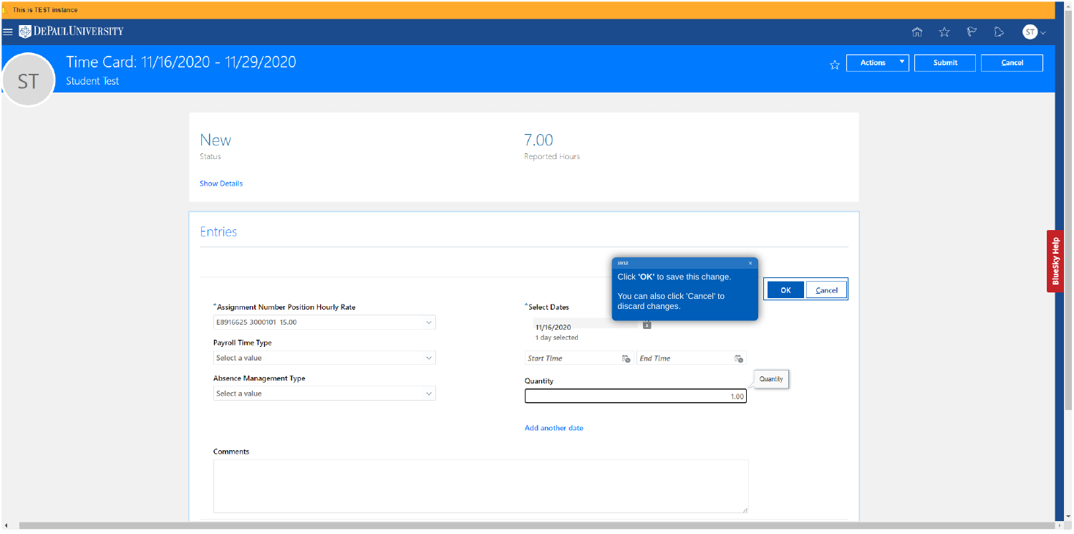**ST** 

## Time Card: 11/16/2020 - 11/29/2020

Student Test

## New

Status

**Show Details** 

### Entries

#### \*Assignment Number Position Hourly Rate

E8916625 3000101 15.00  $\checkmark$ 

### **Payroll Time Type**

Select a value  $\checkmark$ 

### **Absence Management Type**

Select a value  $\checkmark$ 

#### Comments

 $\leftarrow$ 

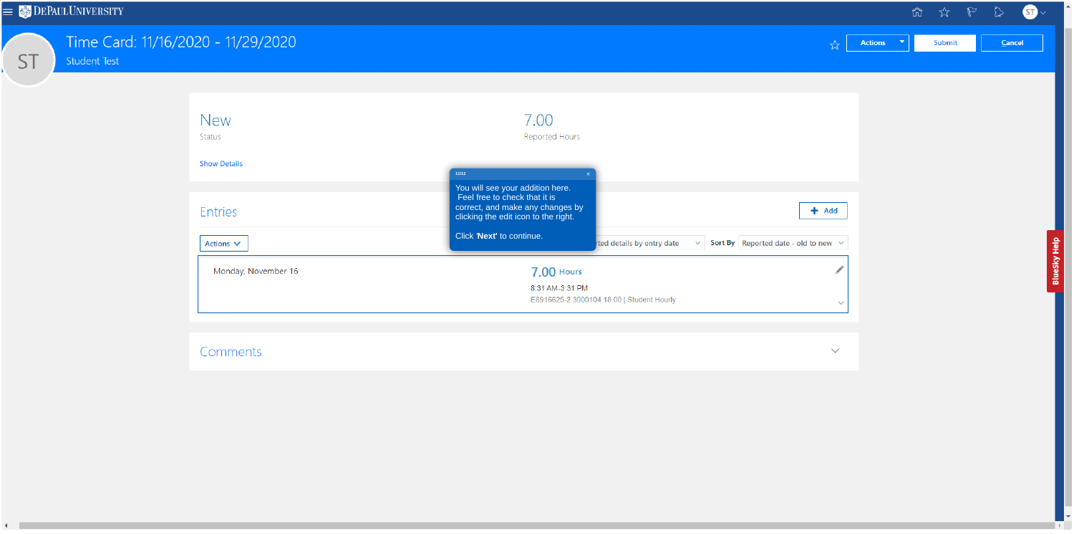**ST** 

## Time Card: 11/16/2020 - 11/29/2020

Student Test

| 7.00<br>Reported Hours                                                                                                                        |                                                  |
|-----------------------------------------------------------------------------------------------------------------------------------------------|--------------------------------------------------|
| $11/12$                                                                                                                                       |                                                  |
| You will see your addition here.<br>Feel free to check that it is<br>correct, and make any changes by<br>clicking the edit icon to the right. | $+$ Add                                          |
| Click 'Next' to continue.<br>ted details by entry date<br>$\checkmark$                                                                        | <b>Sort By</b> Reported date - old to new $\vee$ |
| <b>7.00 Hours</b>                                                                                                                             |                                                  |
| 8:31 AM-3:31 PM<br>E8916625-2 3000104 18.00   Student Hourly                                                                                  | $\checkmark$                                     |
|                                                                                                                                               |                                                  |

## Comments

|                     | $\begin{array}{ccccccccccccc} \mathbb{Q} & \mathbb{Q} & \mathbb{Q} & \mathbb{Q} & \mathbb{Q} & \mathbb{Q} & \mathbb{Q} & \mathbb{Q} & \mathbb{Q} & \mathbb{Q} & \mathbb{Q} & \mathbb{Q} & \mathbb{Q} & \mathbb{Q} & \mathbb{Q} & \mathbb{Q} & \mathbb{Q} & \mathbb{Q} & \mathbb{Q} & \mathbb{Q} & \mathbb{Q} & \mathbb{Q} & \mathbb{Q} & \mathbb{Q} & \mathbb{Q} & \mathbb{Q} & \mathbb{Q} & \mathbb{Q} & \mathbb{Q} & \mathbb{Q} &$ |  |
|---------------------|--------------------------------------------------------------------------------------------------------------------------------------------------------------------------------------------------------------------------------------------------------------------------------------------------------------------------------------------------------------------------------------------------------------------------------------|--|
| Actions v Submit Ca |                                                                                                                                                                                                                                                                                                                                                                                                                                      |  |
|                     |                                                                                                                                                                                                                                                                                                                                                                                                                                      |  |
|                     |                                                                                                                                                                                                                                                                                                                                                                                                                                      |  |

 $\smallsmile$ 

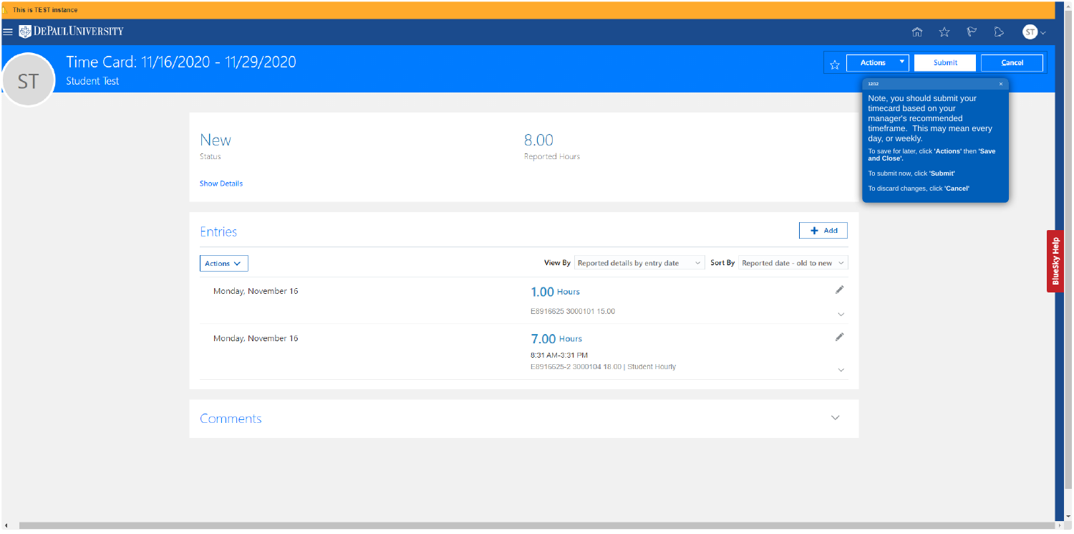

**ST** 

# Time Card: 11/16/2020 - 11/29/2020

Student Test

| <b>Show Details</b> |
|---------------------|
|                     |
| <b>Entries</b>      |
| Actions $\vee$      |
| Monday, November 16 |
| Monday, November 16 |
|                     |
|                     |

## Comments

|                                                                                         |              |                                                                                           | ñ                                                                                                                                                                              |                              |
|-----------------------------------------------------------------------------------------|--------------|-------------------------------------------------------------------------------------------|--------------------------------------------------------------------------------------------------------------------------------------------------------------------------------|------------------------------|
|                                                                                         | ☆            | <b>Actions</b><br>▼                                                                       | Submit                                                                                                                                                                         | Ca                           |
|                                                                                         |              | 12/12                                                                                     |                                                                                                                                                                                | $\langle \mathsf{X} \rangle$ |
| Reported Hours                                                                          | ٠<br>Add     | timecard based on your<br>day, or weekly.<br>and Close'.<br>To submit now, click 'Submit' | Note, you should submit your<br>manager's recommended<br>timeframe. This may mean every<br>To save for later, click 'Actions' then 'Save<br>To discard changes, click 'Cancel' |                              |
| View By Reported details by entry date $\sim$ Sort By Reported date - old to new $\sim$ |              |                                                                                           |                                                                                                                                                                                |                              |
| <b>1.00 Hours</b>                                                                       |              |                                                                                           |                                                                                                                                                                                |                              |
| E8916625 3000101 15.00                                                                  | $\checkmark$ |                                                                                           |                                                                                                                                                                                |                              |
| <b>7.00 Hours</b>                                                                       |              |                                                                                           |                                                                                                                                                                                |                              |
| 8:31 AM-3:31 PM<br>E8916625-2 3000104 18.00   Student Hourly                            | $\checkmark$ |                                                                                           |                                                                                                                                                                                |                              |
|                                                                                         |              |                                                                                           |                                                                                                                                                                                |                              |
|                                                                                         | ヽノ           |                                                                                           |                                                                                                                                                                                |                              |